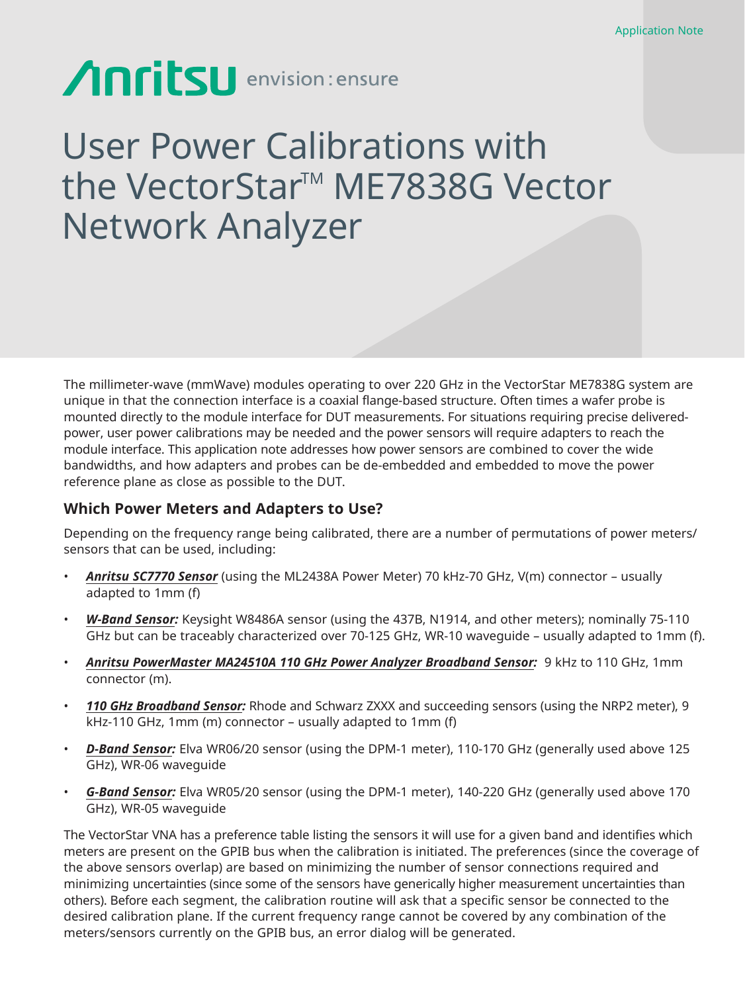# Anritsu envision: ensure

## User Power Calibrations with the VectorStar<sup>™</sup> ME7838G Vector Network Analyzer

The millimeter-wave (mmWave) modules operating to over 220 GHz in the VectorStar ME7838G system are unique in that the connection interface is a coaxial flange-based structure. Often times a wafer probe is mounted directly to the module interface for DUT measurements. For situations requiring precise deliveredpower, user power calibrations may be needed and the power sensors will require adapters to reach the module interface. This application note addresses how power sensors are combined to cover the wide bandwidths, and how adapters and probes can be de-embedded and embedded to move the power reference plane as close as possible to the DUT.

### **Which Power Meters and Adapters to Use?**

Depending on the frequency range being calibrated, there are a number of permutations of power meters/ sensors that can be used, including:

- *Anritsu SC7770 Sensor* (using the ML2438A Power Meter) 70 kHz-70 GHz, V(m) connector usually adapted to 1mm (f)
- *W-Band Sensor:* Keysight W8486A sensor (using the 437B, N1914, and other meters); nominally 75-110 GHz but can be traceably characterized over 70-125 GHz, WR-10 waveguide – usually adapted to 1mm (f).
- *Anritsu PowerMaster MA24510A 110 GHz Power Analyzer Broadband Sensor:* 9 kHz to 110 GHz, 1mm connector (m).
- *110 GHz Broadband Sensor:* Rhode and Schwarz ZXXX and succeeding sensors (using the NRP2 meter), 9 kHz-110 GHz, 1mm (m) connector – usually adapted to 1mm (f)
- *D-Band Sensor:* Elva WR06/20 sensor (using the DPM-1 meter), 110-170 GHz (generally used above 125 GHz), WR-06 waveguide
- *G-Band Sensor:* Elva WR05/20 sensor (using the DPM-1 meter), 140-220 GHz (generally used above 170 GHz), WR-05 waveguide

The VectorStar VNA has a preference table listing the sensors it will use for a given band and identifies which meters are present on the GPIB bus when the calibration is initiated. The preferences (since the coverage of the above sensors overlap) are based on minimizing the number of sensor connections required and minimizing uncertainties (since some of the sensors have generically higher measurement uncertainties than others). Before each segment, the calibration routine will ask that a specific sensor be connected to the desired calibration plane. If the current frequency range cannot be covered by any combination of the meters/sensors currently on the GPIB bus, an error dialog will be generated.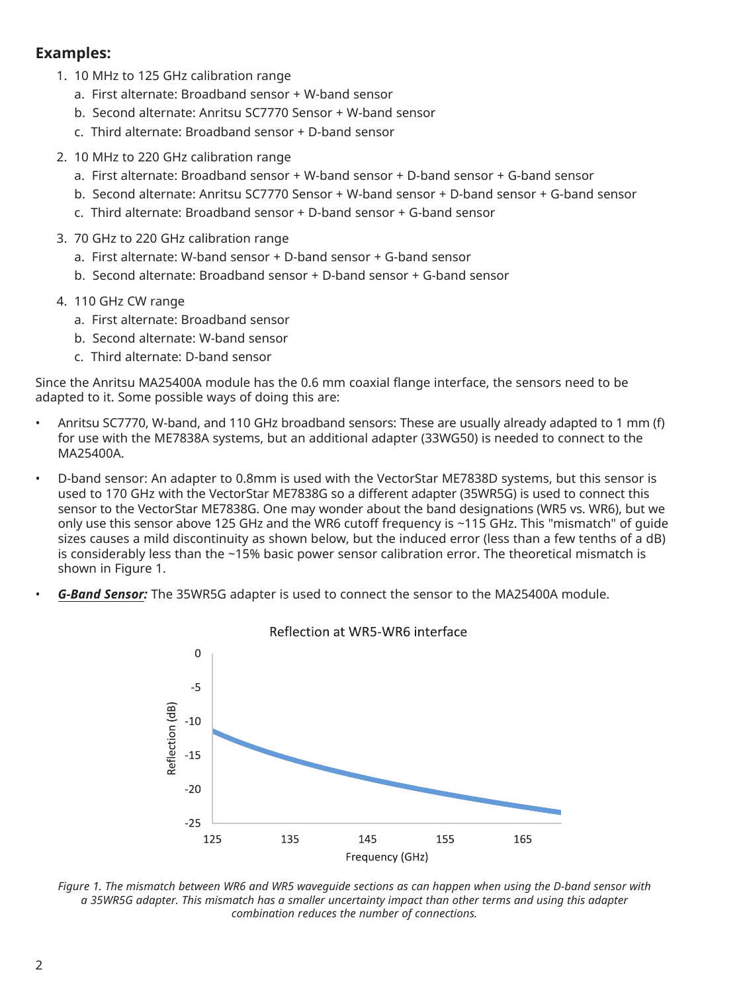### **Examples:**

- 1. 10 MHz to 125 GHz calibration range
	- a. First alternate: Broadband sensor + W-band sensor
	- b. Second alternate: Anritsu SC7770 Sensor + W-band sensor
	- c. Third alternate: Broadband sensor + D-band sensor
- 2. 10 MHz to 220 GHz calibration range
	- a. First alternate: Broadband sensor + W-band sensor + D-band sensor + G-band sensor
	- b. Second alternate: Anritsu SC7770 Sensor + W-band sensor + D-band sensor + G-band sensor
	- c. Third alternate: Broadband sensor + D-band sensor + G-band sensor
- 3. 70 GHz to 220 GHz calibration range
	- a. First alternate: W-band sensor + D-band sensor + G-band sensor
	- b. Second alternate: Broadband sensor + D-band sensor + G-band sensor
- 4. 110 GHz CW range
	- a. First alternate: Broadband sensor
	- b. Second alternate: W-band sensor
	- c. Third alternate: D-band sensor

Since the Anritsu MA25400A module has the 0.6 mm coaxial flange interface, the sensors need to be adapted to it. Some possible ways of doing this are:

- Anritsu SC7770, W-band, and 110 GHz broadband sensors: These are usually already adapted to 1 mm (f) for use with the ME7838A systems, but an additional adapter (33WG50) is needed to connect to the MA25400A.
- D-band sensor: An adapter to 0.8mm is used with the VectorStar ME7838D systems, but this sensor is used to 170 GHz with the VectorStar ME7838G so a different adapter (35WR5G) is used to connect this sensor to the VectorStar ME7838G. One may wonder about the band designations (WR5 vs. WR6), but we only use this sensor above 125 GHz and the WR6 cutoff frequency is ~115 GHz. This "mismatch" of guide sizes causes a mild discontinuity as shown below, but the induced error (less than a few tenths of a dB) is considerably less than the ~15% basic power sensor calibration error. The theoretical mismatch is shown in Figure 1.
- *G-Band Sensor:* The 35WR5G adapter is used to connect the sensor to the MA25400A module.



Reflection at WR5-WR6 interface

*Figure 1. The mismatch between WR6 and WR5 waveguide sections as can happen when using the D-band sensor with a 35WR5G adapter. This mismatch has a smaller uncertainty impact than other terms and using this adapter combination reduces the number of connections.*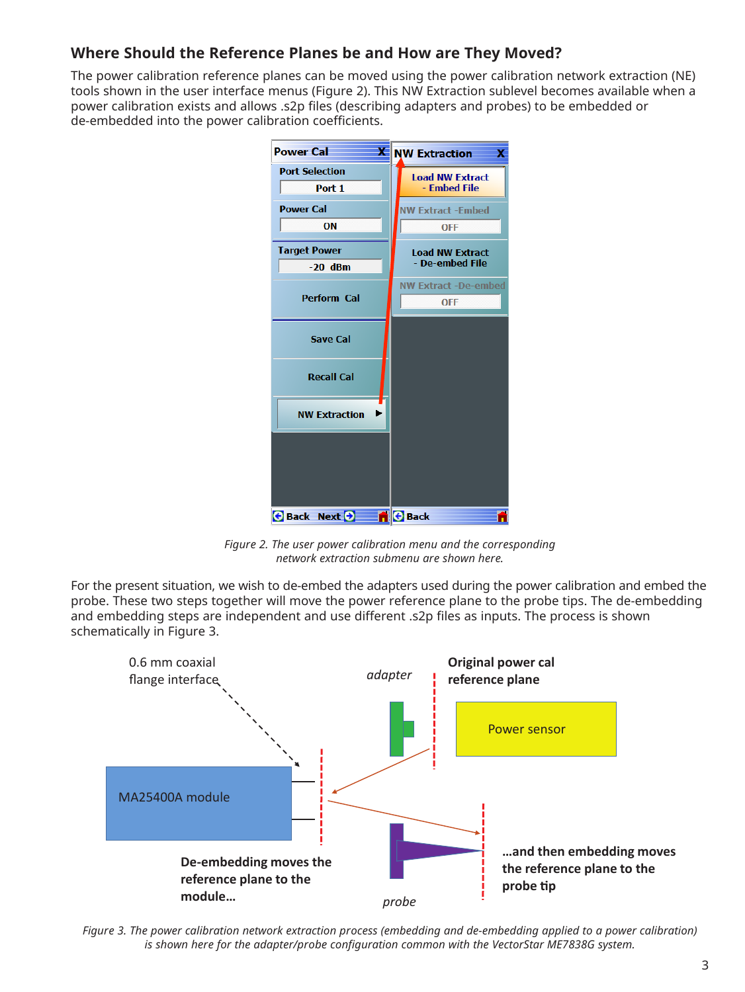## **Where Should the Reference Planes be and How are They Moved?**

The power calibration reference planes can be moved using the power calibration network extraction (NE) tools shown in the user interface menus (Figure 2). This NW Extraction sublevel becomes available when a power calibration exists and allows .s2p files (describing adapters and probes) to be embedded or de-embedded into the power calibration coefficients.



*Figure 2. The user power calibration menu and the corresponding network extraction submenu are shown here.*

For the present situation, we wish to de-embed the adapters used during the power calibration and embed the probe. These two steps together will move the power reference plane to the probe tips. The de-embedding and embedding steps are independent and use different .s2p files as inputs. The process is shown schematically in Figure 3.



*Figure 3. The power calibration network extraction process (embedding and de-embedding applied to a power calibration) is shown here for the adapter/probe configuration common with the VectorStar ME7838G system.*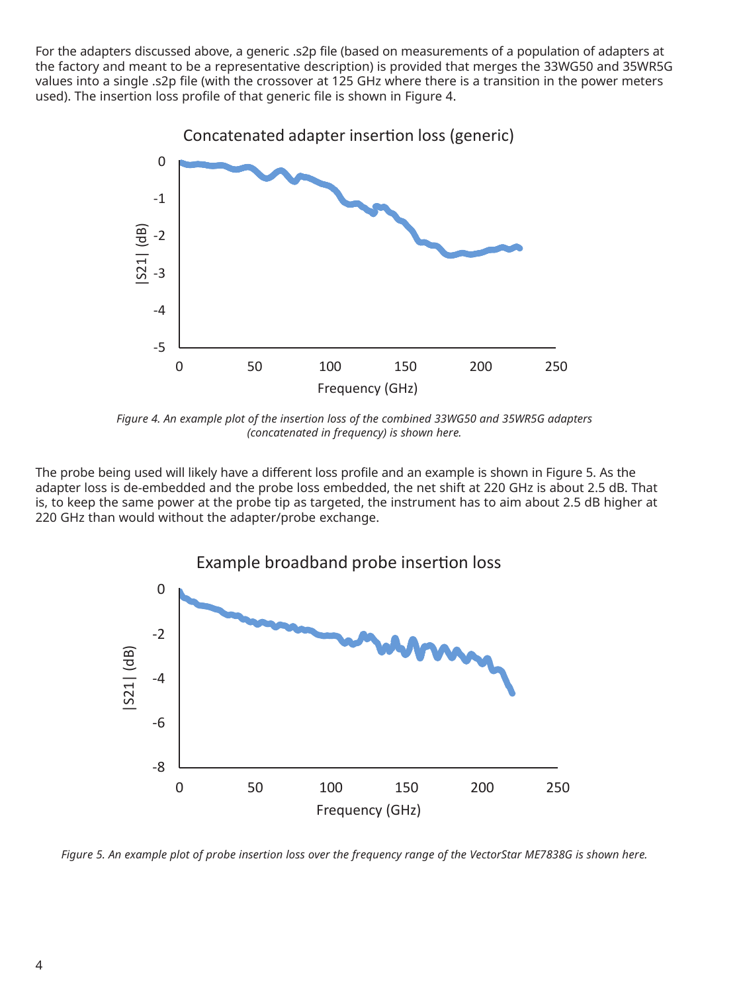For the adapters discussed above, a generic .s2p file (based on measurements of a population of adapters at the factory and meant to be a representative description) is provided that merges the 33WG50 and 35WR5G values into a single .s2p file (with the crossover at 125 GHz where there is a transition in the power meters used). The insertion loss profile of that generic file is shown in Figure 4.



*Figure 4. An example plot of the insertion loss of the combined 33WG50 and 35WR5G adapters (concatenated in frequency) is shown here.*

The probe being used will likely have a different loss profile and an example is shown in Figure 5. As the adapter loss is de-embedded and the probe loss embedded, the net shift at 220 GHz is about 2.5 dB. That is, to keep the same power at the probe tip as targeted, the instrument has to aim about 2.5 dB higher at 220 GHz than would without the adapter/probe exchange.



*Figure 5. An example plot of probe insertion loss over the frequency range of the VectorStar ME7838G is shown here.*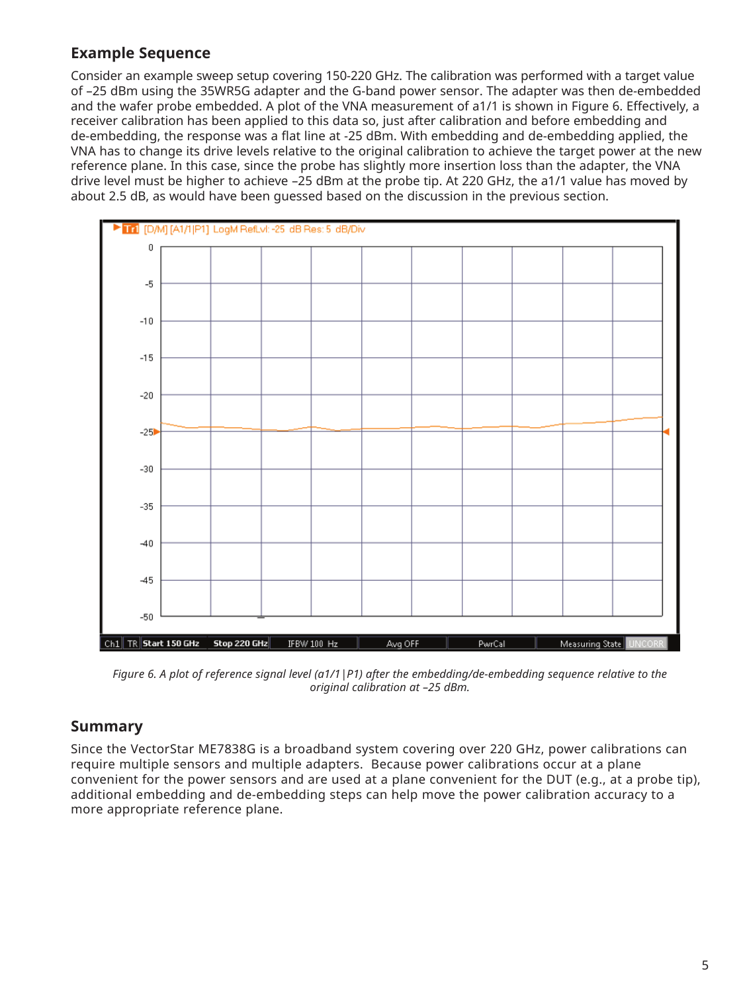## **Example Sequence**

Consider an example sweep setup covering 150-220 GHz. The calibration was performed with a target value of –25 dBm using the 35WR5G adapter and the G-band power sensor. The adapter was then de-embedded and the wafer probe embedded. A plot of the VNA measurement of a1/1 is shown in Figure 6. Effectively, a receiver calibration has been applied to this data so, just after calibration and before embedding and de-embedding, the response was a flat line at -25 dBm. With embedding and de-embedding applied, the VNA has to change its drive levels relative to the original calibration to achieve the target power at the new reference plane. In this case, since the probe has slightly more insertion loss than the adapter, the VNA drive level must be higher to achieve –25 dBm at the probe tip. At 220 GHz, the a1/1 value has moved by about 2.5 dB, as would have been guessed based on the discussion in the previous section.



*Figure 6. A plot of reference signal level (a1/1|P1) after the embedding/de-embedding sequence relative to the original calibration at –25 dBm.*

## **Summary**

Since the VectorStar ME7838G is a broadband system covering over 220 GHz, power calibrations can require multiple sensors and multiple adapters. Because power calibrations occur at a plane convenient for the power sensors and are used at a plane convenient for the DUT (e.g., at a probe tip), additional embedding and de-embedding steps can help move the power calibration accuracy to a more appropriate reference plane.